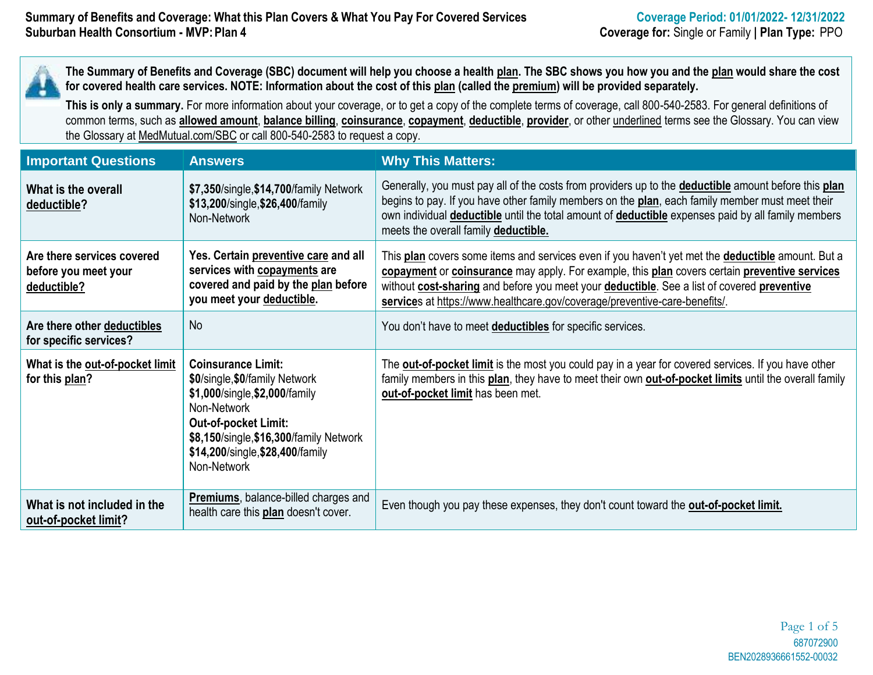**The Summary of Benefits and Coverage (SBC) document will help you choose a health plan. The SBC shows you how you and the plan would share the cost for covered health care services. NOTE: Information about the cost of this plan (called the premium) will be provided separately.**

**This is only a summary.** For more information about your coverage, or to get a copy of the complete terms of coverage, call 800-540-2583. For general definitions of common terms, such as **allowed amount**, **balance billing**, **coinsurance**, **copayment**, **deductible**, **provider**, or other underlined terms see the Glossary. You can view the Glossary at MedMutual.com/SBC or call 800-540-2583 to request a copy.

| <b>Important Questions</b>                                        | <b>Answers</b>                                                                                                                                                                                                                            | <b>Why This Matters:</b>                                                                                                                                                                                                                                                                                                                                                       |
|-------------------------------------------------------------------|-------------------------------------------------------------------------------------------------------------------------------------------------------------------------------------------------------------------------------------------|--------------------------------------------------------------------------------------------------------------------------------------------------------------------------------------------------------------------------------------------------------------------------------------------------------------------------------------------------------------------------------|
| What is the overall<br>deductible?                                | \$7,350/single, \$14,700/family Network<br>\$13,200/single, \$26,400/family<br>Non-Network                                                                                                                                                | Generally, you must pay all of the costs from providers up to the <b>deductible</b> amount before this plan<br>begins to pay. If you have other family members on the plan, each family member must meet their<br>own individual <b>deductible</b> until the total amount of <b>deductible</b> expenses paid by all family members<br>meets the overall family deductible.     |
| Are there services covered<br>before you meet your<br>deductible? | Yes. Certain preventive care and all<br>services with copayments are<br>covered and paid by the plan before<br>you meet your deductible.                                                                                                  | This plan covers some items and services even if you haven't yet met the deductible amount. But a<br>copayment or coinsurance may apply. For example, this plan covers certain preventive services<br>without cost-sharing and before you meet your deductible. See a list of covered preventive<br>services at https://www.healthcare.gov/coverage/preventive-care-benefits/. |
| Are there other deductibles<br>for specific services?             | <b>No</b>                                                                                                                                                                                                                                 | You don't have to meet <b>deductibles</b> for specific services.                                                                                                                                                                                                                                                                                                               |
| What is the out-of-pocket limit<br>for this plan?                 | <b>Coinsurance Limit:</b><br>\$0/single, \$0/family Network<br>\$1,000/single, \$2,000/family<br>Non-Network<br><b>Out-of-pocket Limit:</b><br>\$8,150/single, \$16,300/family Network<br>\$14,200/single, \$28,400/family<br>Non-Network | The <b>out-of-pocket limit</b> is the most you could pay in a year for covered services. If you have other<br>family members in this plan, they have to meet their own <b>out-of-pocket limits</b> until the overall family<br>out-of-pocket limit has been met.                                                                                                               |
| What is not included in the<br>out-of-pocket limit?               | <b>Premiums</b> , balance-billed charges and<br>health care this plan doesn't cover.                                                                                                                                                      | Even though you pay these expenses, they don't count toward the <b>out-of-pocket limit.</b>                                                                                                                                                                                                                                                                                    |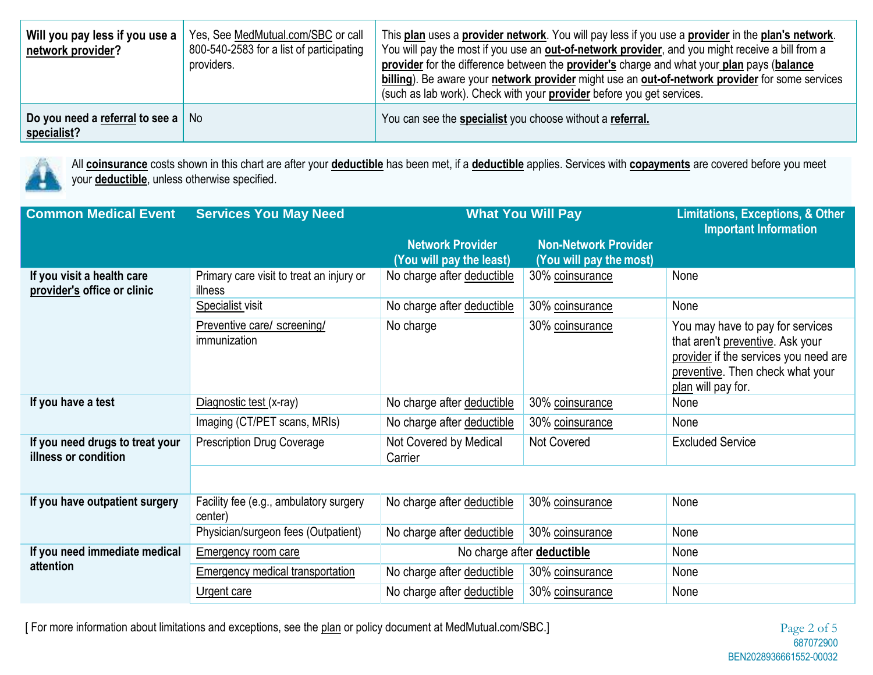| Will you pay less if you use a<br>network provider?       | Yes, See MedMutual.com/SBC or call<br>800-540-2583 for a list of participating<br>providers. | This plan uses a provider network. You will pay less if you use a provider in the plan's network.<br>You will pay the most if you use an out-of-network provider, and you might receive a bill from a<br>provider for the difference between the provider's charge and what your plan pays (balance<br>billing). Be aware your network provider might use an out-of-network provider for some services<br>(such as lab work). Check with your <b>provider</b> before you get services. |
|-----------------------------------------------------------|----------------------------------------------------------------------------------------------|----------------------------------------------------------------------------------------------------------------------------------------------------------------------------------------------------------------------------------------------------------------------------------------------------------------------------------------------------------------------------------------------------------------------------------------------------------------------------------------|
| Do you need a referral to see a $\vert$ No<br>specialist? |                                                                                              | You can see the <b>specialist</b> you choose without a referral.                                                                                                                                                                                                                                                                                                                                                                                                                       |



All **coinsurance** costs shown in this chart are after your **deductible** has been met, if a **deductible** applies. Services with **copayments** are covered before you meet your **deductible**, unless otherwise specified.

| <b>Common Medical Event</b>                               | <b>Services You May Need</b>                        | <b>What You Will Pay</b>                            | <b>Limitations, Exceptions, &amp; Other</b><br><b>Important Information</b> |                                                                                                                                                                         |
|-----------------------------------------------------------|-----------------------------------------------------|-----------------------------------------------------|-----------------------------------------------------------------------------|-------------------------------------------------------------------------------------------------------------------------------------------------------------------------|
|                                                           |                                                     | <b>Network Provider</b><br>(You will pay the least) | <b>Non-Network Provider</b><br>(You will pay the most)                      |                                                                                                                                                                         |
| If you visit a health care<br>provider's office or clinic | Primary care visit to treat an injury or<br>illness | No charge after deductible                          | 30% coinsurance                                                             | None                                                                                                                                                                    |
|                                                           | <b>Specialist</b> visit                             | No charge after deductible                          | 30% coinsurance                                                             | None                                                                                                                                                                    |
|                                                           | Preventive care/ screening/<br>immunization         | No charge                                           | 30% coinsurance                                                             | You may have to pay for services<br>that aren't preventive. Ask your<br>provider if the services you need are<br>preventive. Then check what your<br>plan will pay for. |
| If you have a test                                        | Diagnostic test (x-ray)                             | No charge after deductible                          | 30% coinsurance                                                             | None                                                                                                                                                                    |
|                                                           | Imaging (CT/PET scans, MRIs)                        | No charge after deductible                          | 30% coinsurance                                                             | None                                                                                                                                                                    |
| If you need drugs to treat your<br>illness or condition   | <b>Prescription Drug Coverage</b>                   | Not Covered by Medical<br>Carrier                   | Not Covered                                                                 | <b>Excluded Service</b>                                                                                                                                                 |
|                                                           |                                                     |                                                     |                                                                             |                                                                                                                                                                         |
| If you have outpatient surgery                            | Facility fee (e.g., ambulatory surgery<br>center)   | No charge after deductible                          | 30% coinsurance                                                             | None                                                                                                                                                                    |
|                                                           | Physician/surgeon fees (Outpatient)                 | No charge after deductible                          | 30% coinsurance                                                             | None                                                                                                                                                                    |
| If you need immediate medical                             | <b>Emergency room care</b>                          | No charge after <b>deductible</b>                   |                                                                             | None                                                                                                                                                                    |
| attention                                                 | <b>Emergency medical transportation</b>             | No charge after deductible                          | 30% coinsurance                                                             | None                                                                                                                                                                    |
|                                                           | <b>Urgent care</b>                                  | No charge after deductible                          | 30% coinsurance                                                             | None                                                                                                                                                                    |

[ For more information about limitations and exceptions, see the plan or policy document at MedMutual.com/SBC.] Page 2 of 5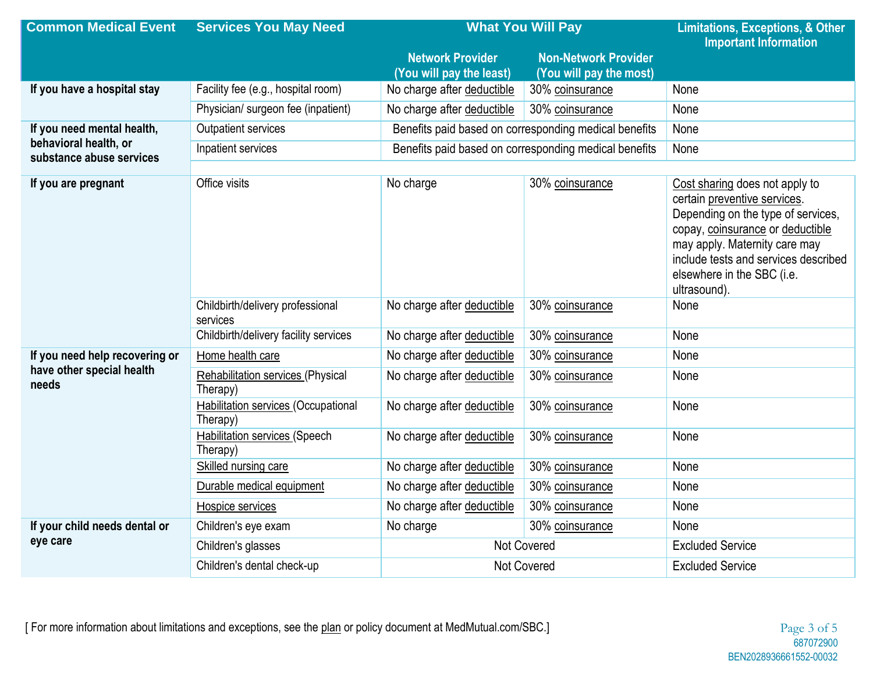| <b>Common Medical Event</b>                       | <b>Services You May Need</b>                     | <b>What You Will Pay</b>                              | <b>Limitations, Exceptions, &amp; Other</b> |                                                                                                                                                                                                                                                                 |
|---------------------------------------------------|--------------------------------------------------|-------------------------------------------------------|---------------------------------------------|-----------------------------------------------------------------------------------------------------------------------------------------------------------------------------------------------------------------------------------------------------------------|
|                                                   |                                                  | <b>Network Provider</b>                               | <b>Non-Network Provider</b>                 | <b>Important Information</b>                                                                                                                                                                                                                                    |
|                                                   |                                                  | (You will pay the least)                              | (You will pay the most)                     |                                                                                                                                                                                                                                                                 |
| If you have a hospital stay                       | Facility fee (e.g., hospital room)               | No charge after deductible                            | 30% coinsurance                             | None                                                                                                                                                                                                                                                            |
|                                                   | Physician/ surgeon fee (inpatient)               | No charge after deductible                            | 30% coinsurance                             | None                                                                                                                                                                                                                                                            |
| If you need mental health,                        | Outpatient services                              | Benefits paid based on corresponding medical benefits |                                             | None                                                                                                                                                                                                                                                            |
| behavioral health, or<br>substance abuse services | Inpatient services                               | Benefits paid based on corresponding medical benefits |                                             | None                                                                                                                                                                                                                                                            |
|                                                   |                                                  |                                                       |                                             |                                                                                                                                                                                                                                                                 |
| If you are pregnant                               | Office visits                                    | No charge                                             | 30% coinsurance                             | Cost sharing does not apply to<br>certain preventive services.<br>Depending on the type of services,<br>copay, coinsurance or deductible<br>may apply. Maternity care may<br>include tests and services described<br>elsewhere in the SBC (i.e.<br>ultrasound). |
|                                                   | Childbirth/delivery professional<br>services     | No charge after deductible                            | 30% coinsurance                             | None                                                                                                                                                                                                                                                            |
|                                                   | Childbirth/delivery facility services            | No charge after deductible                            | 30% coinsurance                             | None                                                                                                                                                                                                                                                            |
| If you need help recovering or                    | Home health care                                 | No charge after deductible                            | 30% coinsurance                             | None                                                                                                                                                                                                                                                            |
| have other special health<br>needs                | Rehabilitation services (Physical<br>Therapy)    | No charge after deductible                            | 30% coinsurance                             | None                                                                                                                                                                                                                                                            |
|                                                   | Habilitation services (Occupational<br>Therapy)  | No charge after deductible                            | 30% coinsurance                             | None                                                                                                                                                                                                                                                            |
|                                                   | <b>Habilitation services (Speech</b><br>Therapy) | No charge after deductible                            | 30% coinsurance                             | None                                                                                                                                                                                                                                                            |
|                                                   | Skilled nursing care                             | No charge after deductible                            | 30% coinsurance                             | None                                                                                                                                                                                                                                                            |
|                                                   | Durable medical equipment                        | No charge after deductible                            | 30% coinsurance                             | None                                                                                                                                                                                                                                                            |
|                                                   | <b>Hospice services</b>                          | No charge after deductible                            | 30% coinsurance                             | None                                                                                                                                                                                                                                                            |
| If your child needs dental or                     | Children's eye exam                              | No charge                                             | 30% coinsurance                             | None                                                                                                                                                                                                                                                            |
| eye care                                          | Children's glasses                               | Not Covered                                           |                                             | <b>Excluded Service</b>                                                                                                                                                                                                                                         |
|                                                   | Children's dental check-up                       | Not Covered                                           | <b>Excluded Service</b>                     |                                                                                                                                                                                                                                                                 |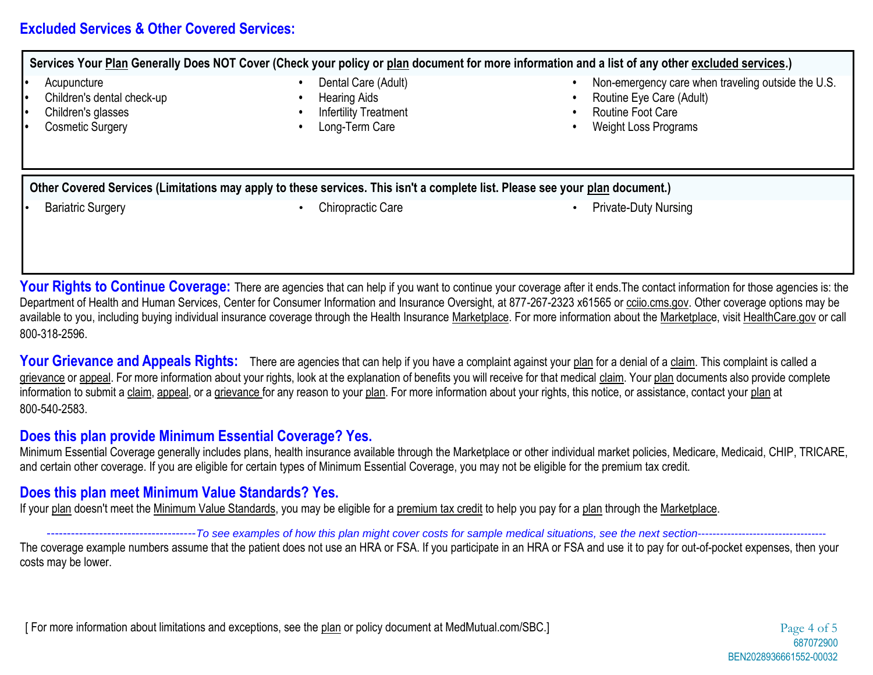### **Excluded Services & Other Covered Services:**

**Services Your Plan Generally Does NOT Cover (Check your policy or plan document for more information and a list of any other excluded services.)**

- 
- 
- 
- 
- 
- 
- **•** Children's glasses **•** Infertility Treatment **•** Routine Foot Care
	-
- **•** Dental Care (Adult) **• betal Care (Adult) • 1** Non-emergency care when traveling outside the U.S.
- **•** Children's dental check-up **•** Hearing Aids **•** Routine Eye Care (Adult)
	-
- **•** Cosmetic Surgery **•** Long-Term Care **•** Weight Loss Programs

**Other Covered Services (Limitations may apply to these services. This isn't a complete list. Please see your plan document.)**

- 
- **Bariatric Surgery Chiropractic Care Chiropractic Care Private-Duty Nursing Private-Duty Nursing**

**Your Rights to Continue Coverage:** There are agencies that can help if you want to continue your coverage after it ends. The contact information for those agencies is: the Department of Health and Human Services, Center for Consumer Information and Insurance Oversight, at 877-267-2323 x61565 or cciio.cms.gov. Other coverage options may be available to you, including buying individual insurance coverage through the Health Insurance Marketplace. For more information about the Marketplace, visit HealthCare.gov or call 800-318-2596.

Your Grievance and Appeals Rights: There are agencies that can help if you have a complaint against your plan for a denial of a claim. This complaint is called a grievance or appeal. For more information about your rights, look at the explanation of benefits you will receive for that medical claim. Your plan documents also provide complete information to submit a claim, appeal, or a grievance for any reason to your plan. For more information about your rights, this notice, or assistance, contact your plan at 800-540-2583.

## **Does this plan provide Minimum Essential Coverage? Yes.**

Minimum Essential Coverage generally includes plans, health insurance available through the Marketplace or other individual market policies, Medicare, Medicaid, CHIP, TRICARE, and certain other coverage. If you are eligible for certain types of Minimum Essential Coverage, you may not be eligible for the premium tax credit.

# **Does this plan meet Minimum Value Standards? Yes.**

If your plan doesn't meet the Minimum Value Standards, you may be eligible for a premium tax credit to help you pay for a plan through the Marketplace.

-------------------------------------*To see examples of how this plan might cover costs for sample medical situations, see the next section*-----------------------------------

The coverage example numbers assume that the patient does not use an HRA or FSA. If you participate in an HRA or FSA and use it to pay for out-of-pocket expenses, then your costs may be lower.

[ For more information about limitations and exceptions, see the plan or policy document at MedMutual.com/SBC.] Page 4 of 5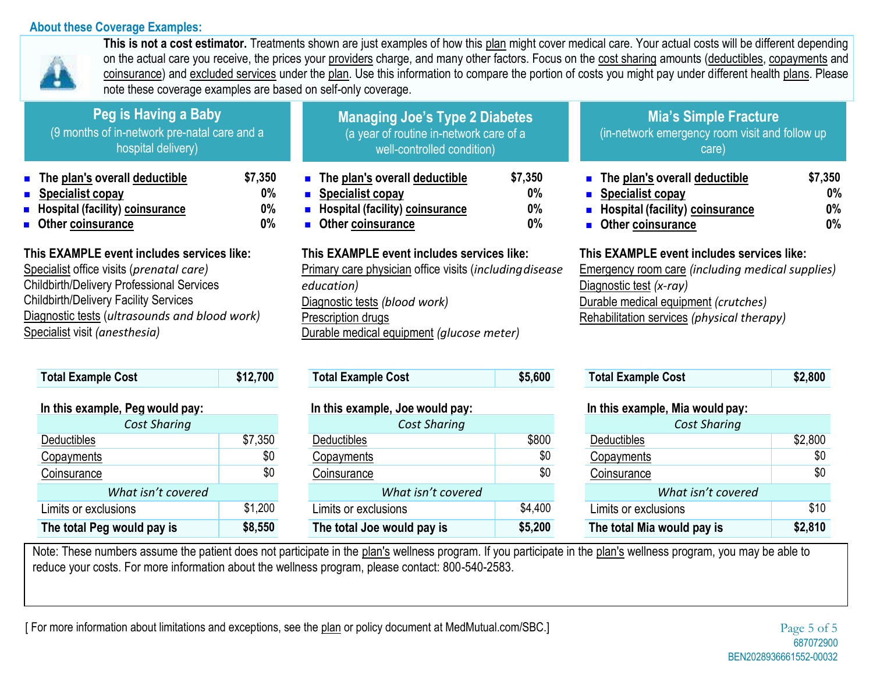#### **About these Coverage Examples:**



This is not a cost estimator. Treatments shown are just examples of how this plan might cover medical care. Your actual costs will be different depending on the actual care you receive, the prices your providers charge, and many other factors. Focus on the cost sharing amounts (deductibles, copayments and coinsurance) and excluded services under the plan. Use this information to compare the portion of costs you might pay under different health plans. Please note these coverage examples are based on self-only coverage.

| Peg is Having a Baby<br>(9 months of in-network pre-natal care and a<br>hospital delivery)                                                                                                                                                                                   |                                                                                                                                     | <b>Managing Joe's Type 2 Diabetes</b><br>(a year of routine in-network care of a<br>well-controlled condition)                                                                                                          |                                                                                                                                       | <b>Mia's Simple Fracture</b><br>(in-network emergency room visit and follow up<br>care)                                                                                                                                |                                                                                                                                                                                                                                       |                           |
|------------------------------------------------------------------------------------------------------------------------------------------------------------------------------------------------------------------------------------------------------------------------------|-------------------------------------------------------------------------------------------------------------------------------------|-------------------------------------------------------------------------------------------------------------------------------------------------------------------------------------------------------------------------|---------------------------------------------------------------------------------------------------------------------------------------|------------------------------------------------------------------------------------------------------------------------------------------------------------------------------------------------------------------------|---------------------------------------------------------------------------------------------------------------------------------------------------------------------------------------------------------------------------------------|---------------------------|
|                                                                                                                                                                                                                                                                              | The plan's overall deductible<br>$\blacksquare$ Specialist copay<br><b>B</b> Hospital (facility) coinsurance<br>• Other coinsurance | \$7,350<br>$0\%$<br>0%<br>$0\%$                                                                                                                                                                                         | $\blacksquare$ The plan's overall deductible<br>• Specialist copay<br><b>E</b> Hospital (facility) coinsurance<br>• Other coinsurance | \$7,350<br>0%<br>$0\%$<br>0%                                                                                                                                                                                           | $\blacksquare$ The plan's overall deductible<br>$\blacksquare$ Specialist copay<br>• Hospital (facility) coinsurance<br><b>Other coinsurance</b>                                                                                      | \$7,350<br>0%<br>0%<br>0% |
| This EXAMPLE event includes services like:<br>Specialist office visits (prenatal care)<br><b>Childbirth/Delivery Professional Services</b><br><b>Childbirth/Delivery Facility Services</b><br>Diagnostic tests (ultrasounds and blood work)<br>Specialist visit (anesthesia) |                                                                                                                                     | This EXAMPLE event includes services like:<br>Primary care physician office visits (including disease<br>education)<br>Diagnostic tests (blood work)<br>Prescription drugs<br>Durable medical equipment (glucose meter) |                                                                                                                                       | This EXAMPLE event includes services like:<br><b>Emergency room care (including medical supplies)</b><br>Diagnostic test (x-ray)<br>Durable medical equipment (crutches)<br>Rehabilitation services (physical therapy) |                                                                                                                                                                                                                                       |                           |
|                                                                                                                                                                                                                                                                              | <b>Total Example Cost</b>                                                                                                           | \$12,700                                                                                                                                                                                                                | <b>Total Example Cost</b>                                                                                                             | \$5,600                                                                                                                                                                                                                | <b>Total Example Cost</b>                                                                                                                                                                                                             | \$2,800                   |
|                                                                                                                                                                                                                                                                              |                                                                                                                                     |                                                                                                                                                                                                                         |                                                                                                                                       |                                                                                                                                                                                                                        | $\mathbf{I}$ and $\mathbf{I}$ are assumed to the contract of the contract of the contract of the contract of the contract of the contract of the contract of the contract of the contract of the contract of the contract of the cont |                           |

| III UIIS EXAIIIDIE. FEY WOUIU DAV. |         |  |  |  |
|------------------------------------|---------|--|--|--|
| <b>Cost Sharing</b>                |         |  |  |  |
| Deductibles                        | \$7,350 |  |  |  |
| Copayments                         | \$0     |  |  |  |
| Coinsurance                        | \$0     |  |  |  |
| What isn't covered                 |         |  |  |  |
| Limits or exclusions               | \$1,200 |  |  |  |
| The total Peg would pay is         | \$8,550 |  |  |  |

| In this example, Joe would pay: |         |  |  |  |
|---------------------------------|---------|--|--|--|
| <b>Cost Sharing</b>             |         |  |  |  |
| Deductibles                     | \$800   |  |  |  |
| Copayments                      | \$0     |  |  |  |
| Coinsurance                     | \$0     |  |  |  |
| What isn't covered              |         |  |  |  |
| Limits or exclusions            | \$4,400 |  |  |  |
| The total Joe would pay is      | \$5,200 |  |  |  |

# **In this example, Peg would pay: In this example, Joe would pay: In this example, Mia would pay:**

| <b>Cost Sharing</b>        |         |  |  |  |
|----------------------------|---------|--|--|--|
| Deductibles                | \$2,800 |  |  |  |
| Copayments                 | \$0     |  |  |  |
| Coinsurance                | \$0     |  |  |  |
| What isn't covered         |         |  |  |  |
| Limits or exclusions       | \$10    |  |  |  |
| The total Mia would pay is | \$2,810 |  |  |  |

Note: These numbers assume the patient does not participate in the plan's wellness program. If you participate in the plan's wellness program, you may be able to reduce your costs. For more information about the wellness program, please contact: 800-540-2583.